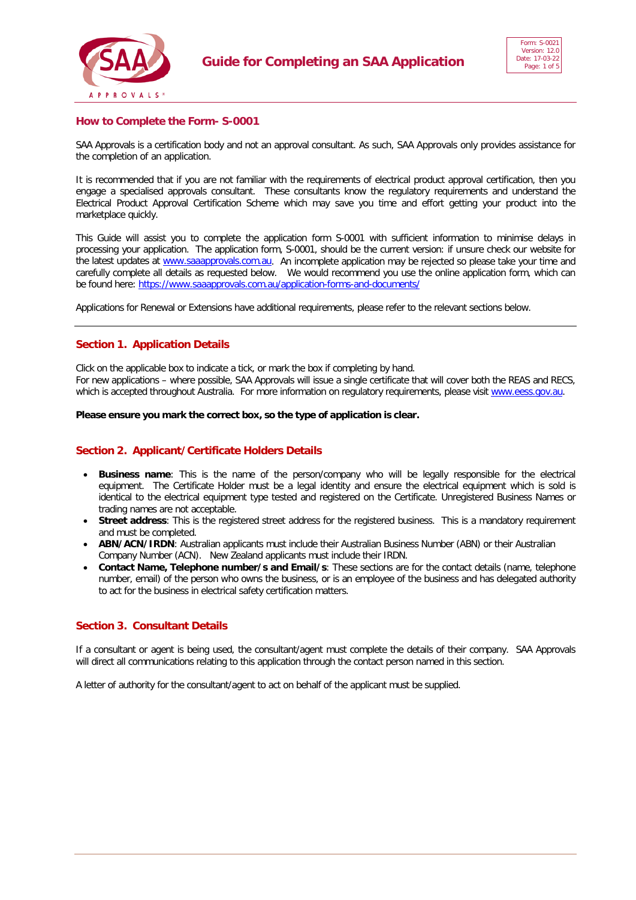



# **How to Complete the Form- S-0001**

SAA Approvals is a certification body and not an approval consultant. As such, SAA Approvals only provides assistance for the completion of an application.

It is recommended that if you are not familiar with the requirements of electrical product approval certification, then you engage a specialised approvals consultant. These consultants know the regulatory requirements and understand the Electrical Product Approval Certification Scheme which may save you time and effort getting your product into the marketplace quickly.

This Guide will assist you to complete the application form S-0001 with sufficient information to minimise delays in processing your application. The application form, S-0001, should be the current version: if unsure check our website for the latest updates at [www.saaapprovals.com.au.](http://www.saaapprovals.com.au/) An incomplete application may be rejected so please take your time and carefully complete all details as requested below. We would recommend you use the online application form, which can be found here[: https://www.saaapprovals.com.au/application-forms-and-documents/](https://www.saaapprovals.com.au/application-forms-and-documents/)

Applications for Renewal or Extensions have additional requirements, please refer to the relevant sections below.

## **Section 1. Application Details**

Click on the applicable box to indicate a tick, or mark the box if completing by hand. For new applications – where possible, SAA Approvals will issue a single certificate that will cover both the REAS and RECS, which is accepted throughout Australia. For more information on regulatory requirements, please visit [www.eess.gov.au.](http://www.eess.gov.au/)

**Please ensure you mark the correct box, so the type of application is clear.**

## **Section 2. Applicant/Certificate Holders Details**

- **Business name**: This is the name of the person/company who will be legally responsible for the electrical equipment. The Certificate Holder must be a legal identity and ensure the electrical equipment which is sold is identical to the electrical equipment type tested and registered on the Certificate. Unregistered Business Names or trading names are not acceptable.
- **Street address**: This is the registered street address for the registered business. This is a mandatory requirement and must be completed.
- **ABN/ACN/IRDN**: Australian applicants must include their Australian Business Number (ABN) or their Australian Company Number (ACN). New Zealand applicants must include their IRDN.
- **Contact Name, Telephone number/s and Email/s**: These sections are for the contact details (name, telephone number, email) of the person who owns the business, or is an employee of the business and has delegated authority to act for the business in electrical safety certification matters.

# **Section 3. Consultant Details**

If a consultant or agent is being used, the consultant/agent must complete the details of their company. SAA Approvals will direct all communications relating to this application through the contact person named in this section.

A letter of authority for the consultant/agent to act on behalf of the applicant must be supplied.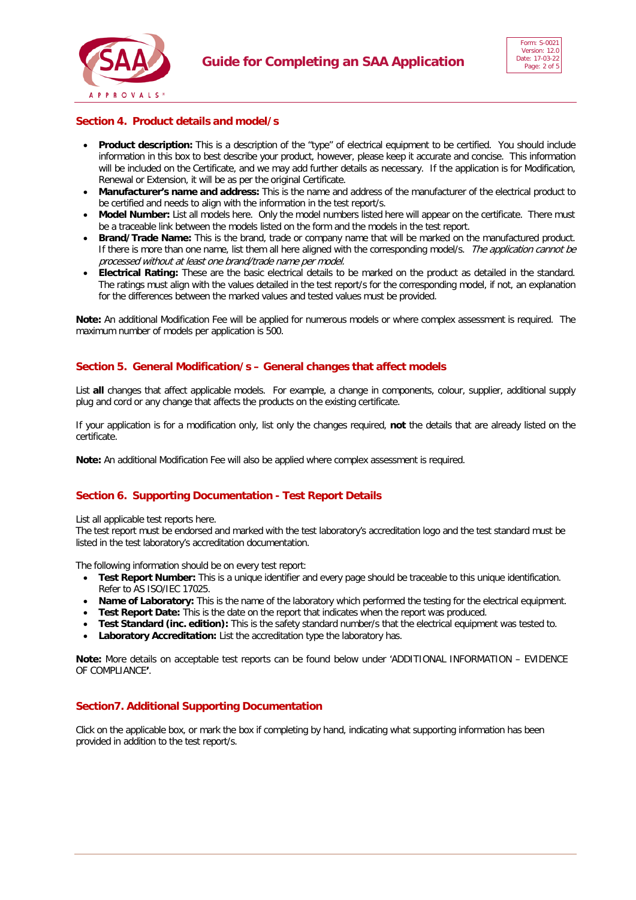



# **Section 4. Product details and model/s**

- **Product description:** This is a description of the "type" of electrical equipment to be certified. You should include information in this box to best describe your product, however, please keep it accurate and concise. This information will be included on the Certificate, and we may add further details as necessary. If the application is for Modification, Renewal or Extension, it will be as per the original Certificate.
- **Manufacturer's name and address:** This is the name and address of the manufacturer of the electrical product to be certified and needs to align with the information in the test report/s.
- **Model Number:** List all models here. Only the model numbers listed here will appear on the certificate. There must be a traceable link between the models listed on the form and the models in the test report.
- **Brand/Trade Name:** This is the brand, trade or company name that will be marked on the manufactured product. If there is more than one name, list them all here aligned with the corresponding model/s. The application cannot be processed without at least one brand/trade name per model.
- **Electrical Rating:** These are the basic electrical details to be marked on the product as detailed in the standard. The ratings must align with the values detailed in the test report/s for the corresponding model, if not, an explanation for the differences between the marked values and tested values must be provided.

**Note:** An additional Modification Fee will be applied for numerous models or where complex assessment is required. The maximum number of models per application is 500.

## **Section 5. General Modification/s – General changes that affect models**

List **all** changes that affect applicable models. For example, a change in components, colour, supplier, additional supply plug and cord or any change that affects the products on the existing certificate.

If your application is for a modification only, list only the changes required, **not** the details that are already listed on the certificate.

**Note:** An additional Modification Fee will also be applied where complex assessment is required.

## **Section 6. Supporting Documentation - Test Report Details**

List all applicable test reports here.

The test report must be endorsed and marked with the test laboratory's accreditation logo and the test standard must be listed in the test laboratory's accreditation documentation.

The following information should be on every test report:

- **Test Report Number:** This is a unique identifier and every page should be traceable to this unique identification. Refer to AS ISO/IEC 17025.
- **Name of Laboratory:** This is the name of the laboratory which performed the testing for the electrical equipment.
- **Test Report Date:** This is the date on the report that indicates when the report was produced.
- **Test Standard (inc. edition):** This is the safety standard number/s that the electrical equipment was tested to.
- **Laboratory Accreditation:** List the accreditation type the laboratory has.

**Note:** More details on acceptable test reports can be found below under 'ADDITIONAL INFORMATION – EVIDENCE OF COMPLIANCE**'**.

## **Section7. Additional Supporting Documentation**

Click on the applicable box, or mark the box if completing by hand, indicating what supporting information has been provided in addition to the test report/s.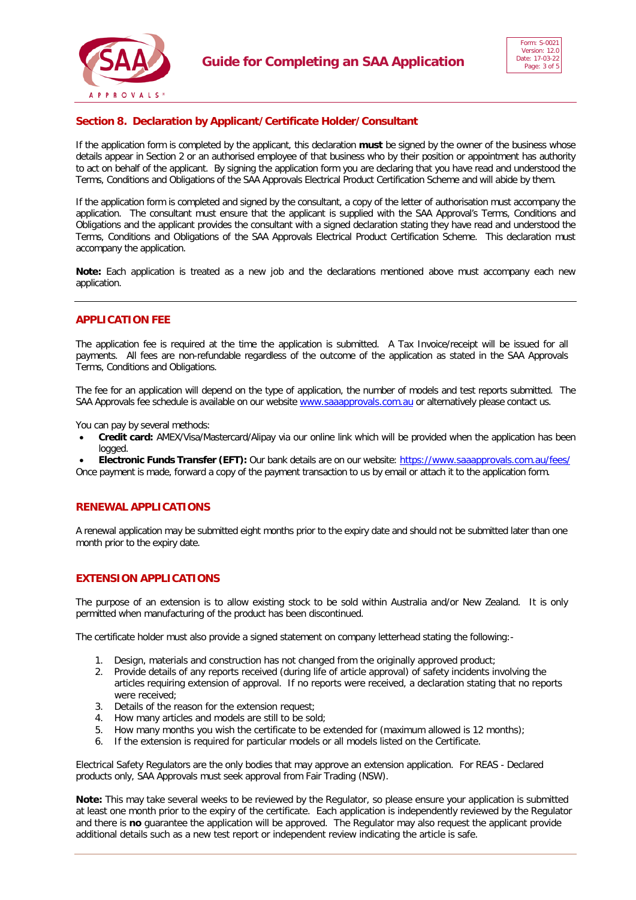



# **Section 8. Declaration by Applicant/Certificate Holder/Consultant**

If the application form is completed by the applicant, this declaration **must** be signed by the owner of the business whose details appear in Section 2 or an authorised employee of that business who by their position or appointment has authority to act on behalf of the applicant. By signing the application form you are declaring that you have read and understood the Terms, Conditions and Obligations of the SAA Approvals Electrical Product Certification Scheme and will abide by them.

If the application form is completed and signed by the consultant, a copy of the letter of authorisation must accompany the application. The consultant must ensure that the applicant is supplied with the SAA Approval's Terms, Conditions and Obligations and the applicant provides the consultant with a signed declaration stating they have read and understood the Terms, Conditions and Obligations of the SAA Approvals Electrical Product Certification Scheme. This declaration must accompany the application.

**Note:** Each application is treated as a new job and the declarations mentioned above must accompany each new application.

## **APPLICATION FEE**

The application fee is required at the time the application is submitted. A Tax Invoice/receipt will be issued for all payments. All fees are non-refundable regardless of the outcome of the application as stated in the SAA Approvals Terms, Conditions and Obligations.

The fee for an application will depend on the type of application, the number of models and test reports submitted. The SAA Approvals fee schedule is available on our website [www.saaapprovals.com.au](http://www.saaapprovals.com.au/) or alternatively please contact us.

You can pay by several methods:

• **Credit card:** AMEX/Visa/Mastercard/Alipay via our online link which will be provided when the application has been logged.

• **Electronic Funds Transfer (EFT):** Our bank details are on our website:<https://www.saaapprovals.com.au/fees/> Once payment is made, forward a copy of the payment transaction to us by email or attach it to the application form.

## **RENEWAL APPLICATIONS**

A renewal application may be submitted eight months prior to the expiry date and should not be submitted later than one month prior to the expiry date.

## **EXTENSION APPLICATIONS**

The purpose of an extension is to allow existing stock to be sold within Australia and/or New Zealand. It is only permitted when manufacturing of the product has been discontinued.

The certificate holder must also provide a signed statement on company letterhead stating the following:-

- 1. Design, materials and construction has not changed from the originally approved product;
- 2. Provide details of any reports received (during life of article approval) of safety incidents involving the articles requiring extension of approval. If no reports were received, a declaration stating that no reports were received;
- 3. Details of the reason for the extension request;
- 4. How many articles and models are still to be sold;
- 5. How many months you wish the certificate to be extended for (maximum allowed is 12 months);
- 6. If the extension is required for particular models or all models listed on the Certificate.

Electrical Safety Regulators are the only bodies that may approve an extension application. For REAS - Declared products only, SAA Approvals must seek approval from Fair Trading (NSW).

**Note:** This may take several weeks to be reviewed by the Regulator, so please ensure your application is submitted at least one month prior to the expiry of the certificate. Each application is independently reviewed by the Regulator and there is **no** guarantee the application will be approved. The Regulator may also request the applicant provide additional details such as a new test report or independent review indicating the article is safe.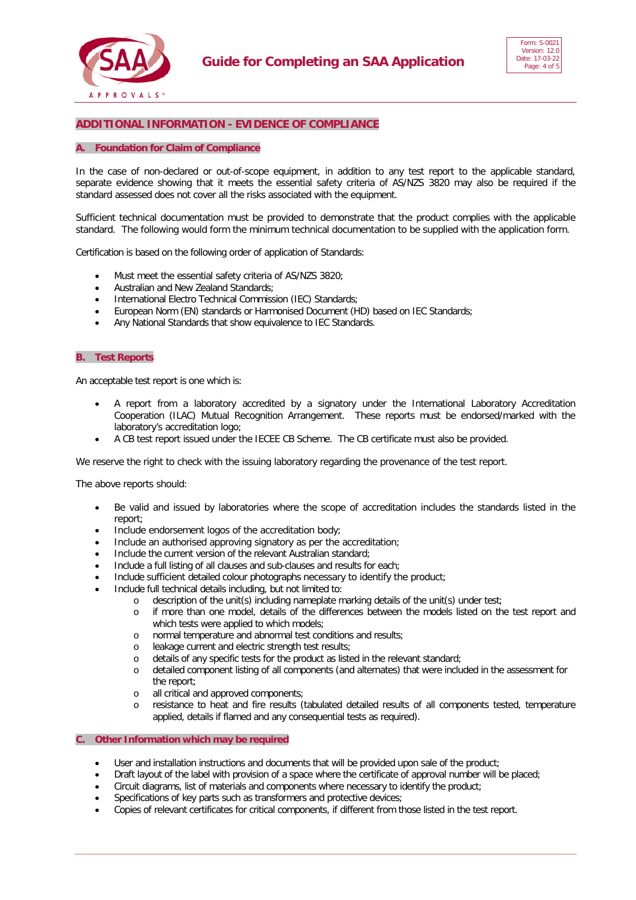



# **ADDITIONAL INFORMATION - EVIDENCE OF COMPLIANCE**

#### **A. Foundation for Claim of Compliance**

In the case of non-declared or out-of-scope equipment, in addition to any test report to the applicable standard, separate evidence showing that it meets the essential safety criteria of AS/NZS 3820 may also be required if the standard assessed does not cover all the risks associated with the equipment.

Sufficient technical documentation must be provided to demonstrate that the product complies with the applicable standard. The following would form the minimum technical documentation to be supplied with the application form.

Certification is based on the following order of application of Standards:

- Must meet the essential safety criteria of AS/NZS 3820;
- Australian and New Zealand Standards;
- International Electro Technical Commission (IEC) Standards;
- European Norm (EN) standards or Harmonised Document (HD) based on IEC Standards;
- Any National Standards that show equivalence to IEC Standards.

#### **B. Test Reports**

An acceptable test report is one which is:

- A report from a laboratory accredited by a signatory under the International Laboratory Accreditation Cooperation (ILAC) Mutual Recognition Arrangement. These reports must be endorsed/marked with the laboratory's accreditation logo;
- A CB test report issued under the IECEE CB Scheme. The CB certificate must also be provided.

We reserve the right to check with the issuing laboratory regarding the provenance of the test report.

The above reports should:

- Be valid and issued by laboratories where the scope of accreditation includes the standards listed in the report;
- Include endorsement logos of the accreditation body;
- Include an authorised approving signatory as per the accreditation;
- Include the current version of the relevant Australian standard;
- Include a full listing of all clauses and sub-clauses and results for each;
- Include sufficient detailed colour photographs necessary to identify the product;
- Include full technical details including, but not limited to:
	- o description of the unit(s) including nameplate marking details of the unit(s) under test;
	- if more than one model, details of the differences between the models listed on the test report and which tests were applied to which models;
	- o normal temperature and abnormal test conditions and results;
	- leakage current and electric strength test results;
	- o details of any specific tests for the product as listed in the relevant standard;<br>
	o detailed component listing of all components (and alternates) that were inclu
	- detailed component listing of all components (and alternates) that were included in the assessment for the report;
	- o all critical and approved components;<br>
	o resistance to heat and fire results (i
	- resistance to heat and fire results (tabulated detailed results of all components tested, temperature applied, details if flamed and any consequential tests as required).

#### **C. Other Information which may be required**

- User and installation instructions and documents that will be provided upon sale of the product;
- Draft layout of the label with provision of a space where the certificate of approval number will be placed;
- Circuit diagrams, list of materials and components where necessary to identify the product;
- Specifications of key parts such as transformers and protective devices;
- Copies of relevant certificates for critical components, if different from those listed in the test report.